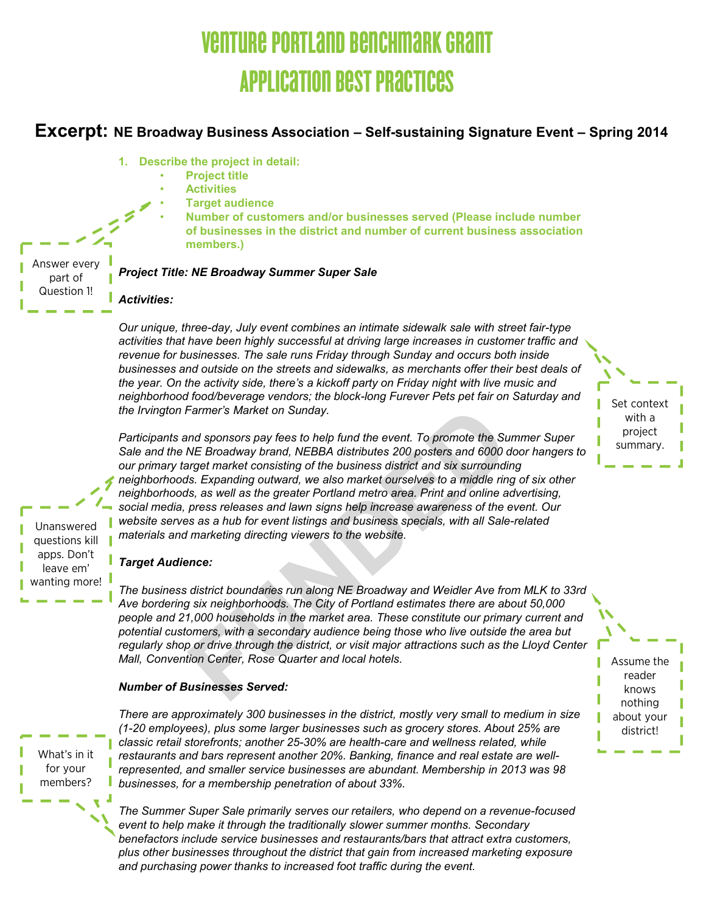# 'URE PORTLAND BENCHMARI Application Best Practices

# **Excerpt: NE Broadway Business Association – Self-sustaining Signature Event – Spring 2014**

- **1. Describe the project in detail:** 
	- **Project title**
	- **Activities**
	- **Target audience**
		- **Number of customers and/or businesses served (Please include number of businesses in the district and number of current business association members.)**

Answer every part of Question 1!

#### *Project Title: NE Broadway Summer Super Sale*

*Our unique, three-day, July event combines an intimate sidewalk sale with street fair-type activities that have been highly successful at driving large increases in customer traffic and revenue for businesses. The sale runs Friday through Sunday and occurs both inside businesses and outside on the streets and sidewalks, as merchants offer their best deals of the year. On the activity side, there's a kickoff party on Friday night with live music and neighborhood food/beverage vendors; the block-long Furever Pets pet fair on Saturday and the Irvington Farmer's Market on Sunday.*

*Participants and sponsors pay fees to help fund the event. To promote the Summer Super Sale and the NE Broadway brand, NEBBA distributes 200 posters and 6000 door hangers to our primary target market consisting of the business district and six surrounding neighborhoods. Expanding outward, we also market ourselves to a middle ring of six other neighborhoods, as well as the greater Portland metro area. Print and online advertising, social media, press releases and lawn signs help increase awareness of the event. Our website serves as a hub for event listings and business specials, with all Sale-related materials and marketing directing viewers to the website.*

questions kill apps. Don't leave em' wanting more!

Unanswered

### *Target Audience:*

*Activities:*

*The business district boundaries run along NE Broadway and Weidler Ave from MLK to 33rd Ave bordering six neighborhoods. The City of Portland estimates there are about 50,000 people and 21,000 households in the market area. These constitute our primary current and potential customers, with a secondary audience being those who live outside the area but regularly shop or drive through the district, or visit major attractions such as the Lloyd Center Mall, Convention Center, Rose Quarter and local hotels.*

#### *Number of Businesses Served:*

What's in it for your members?

*There are approximately 300 businesses in the district, mostly very small to medium in size (1-20 employees), plus some larger businesses such as grocery stores. About 25% are classic retail storefronts; another 25-30% are health-care and wellness related, while restaurants and bars represent another 20%. Banking, finance and real estate are wellrepresented, and smaller service businesses are abundant. Membership in 2013 was 98 businesses, for a membership penetration of about 33%.* 

*The Summer Super Sale primarily serves our retailers, who depend on a revenue-focused event to help make it through the traditionally slower summer months. Secondary benefactors include service businesses and restaurants/bars that attract extra customers, plus other businesses throughout the district that gain from increased marketing exposure and purchasing power thanks to increased foot traffic during the event.*

Set context with a project summary.

Assume the reader knows nothing about your district!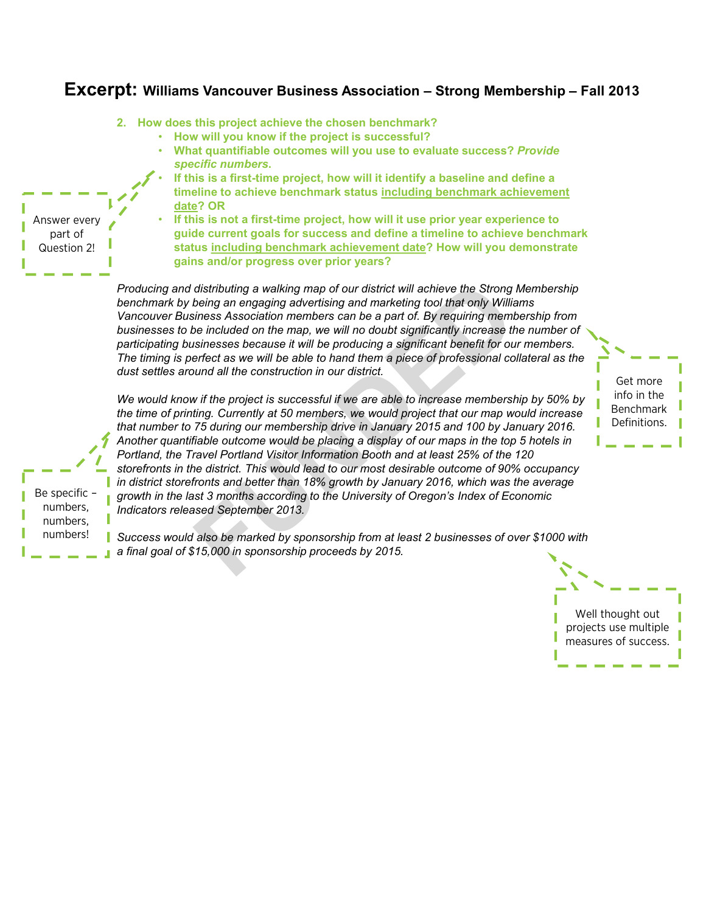# **Excerpt: Williams Vancouver Business Association – Strong Membership – Fall 2013**

**2. How does this project achieve the chosen benchmark?** 

*a final goal of \$15,000 in sponsorship proceeds by 2015.*

- **How will you know if the project is successful?**
- **What quantifiable outcomes will you use to evaluate success?** *Provide specific numbers***.**
- **If this is a first-time project, how will it identify a baseline and define a timeline to achieve benchmark status including benchmark achievement date? OR**
- **If this is not a first-time project, how will it use prior year experience to guide current goals for success and define a timeline to achieve benchmark status including benchmark achievement date? How will you demonstrate gains and/or progress over prior years?**

*Producing and distributing a walking map of our district will achieve the Strong Membership benchmark by being an engaging advertising and marketing tool that only Williams Vancouver Business Association members can be a part of. By requiring membership from*  businesses to be included on the map, we will no doubt significantly increase the number of *participating businesses because it will be producing a significant benefit for our members. The timing is perfect as we will be able to hand them a piece of professional collateral as the dust settles around all the construction in our district.*

*We would know if the project is successful if we are able to increase membership by 50% by the time of printing. Currently at 50 members, we would project that our map would increase that number to 75 during our membership drive in January 2015 and 100 by January 2016. Another quantifiable outcome would be placing a display of our maps in the top 5 hotels in Portland, the Travel Portland Visitor Information Booth and at least 25% of the 120 storefronts in the district. This would lead to our most desirable outcome of 90% occupancy in district storefronts and better than 18% growth by January 2016, which was the average growth in the last 3 months according to the University of Oregon's Index of Economic Indicators released September 2013.*

Get more info in the Benchmark Definitions.

Be specific – numbers, numbers, numbers!

Answer every part of Question 2!

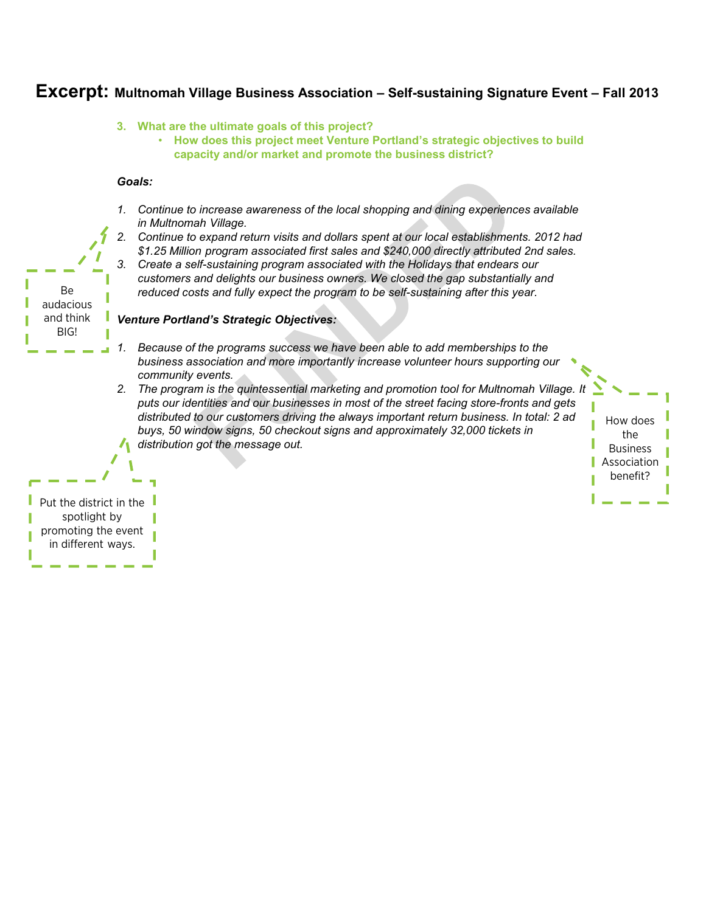### **Excerpt: Multnomah Village Business Association – Self-sustaining Signature Event – Fall 2013**

#### **3. What are the ultimate goals of this project?**

• **How does this project meet Venture Portland's strategic objectives to build capacity and/or market and promote the business district?**

#### *Goals:*

- *1. Continue to increase awareness of the local shopping and dining experiences available in Multnomah Village.*
- *2. Continue to expand return visits and dollars spent at our local establishments. 2012 had \$1.25 Million program associated first sales and \$240,000 directly attributed 2nd sales. 3. Create a self-sustaining program associated with the Holidays that endears our* 
	- *customers and delights our business owners. We closed the gap substantially and reduced costs and fully expect the program to be self-sustaining after this year.*

#### *Venture Portland's Strategic Objectives:*

- *1. Because of the programs success we have been able to add memberships to the business association and more importantly increase volunteer hours supporting our community events.*
- *2. The program is the quintessential marketing and promotion tool for Multnomah Village. It puts our identities and our businesses in most of the street facing store-fronts and gets distributed to our customers driving the always important return business. In total: 2 ad buys, 50 window signs, 50 checkout signs and approximately 32,000 tickets in distribution got the message out.*

How does the Business Association benefit?

Put the district in the spotlight by promoting the event in different ways.

Be audacious and think BIG!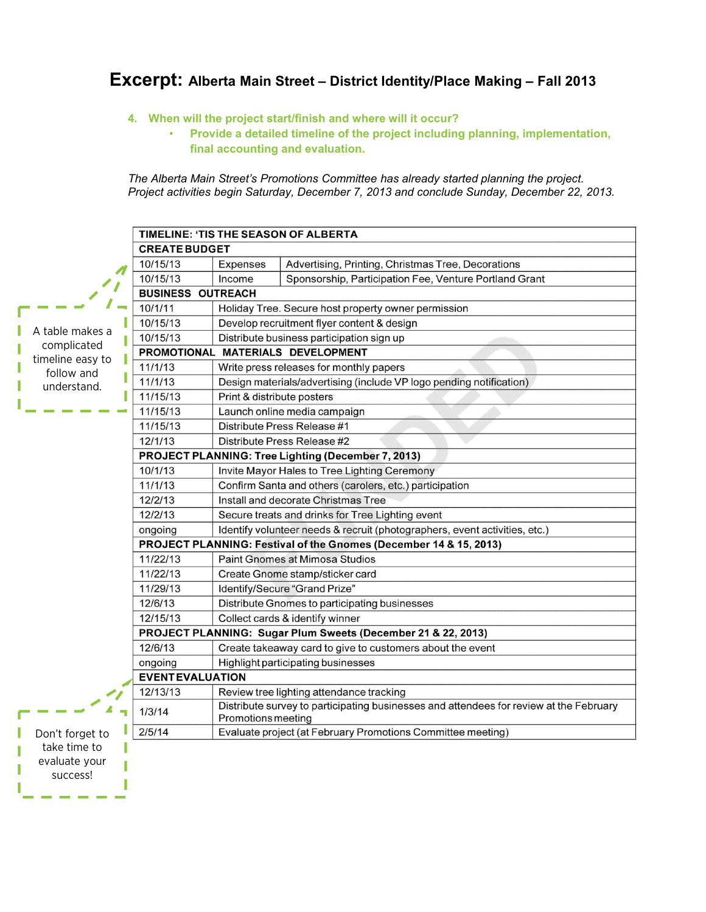# **Excerpt: Alberta Main Street – District Identity/Place Making – Fall 2013**

- **4. When will the project start/finish and where will it occur?** 
	- **Provide a detailed timeline of the project including planning, implementation, final accounting and evaluation.**

*The Alberta Main Street's Promotions Committee has already started planning the project. Project activities begin Saturday, December 7, 2013 and conclude Sunday, December 22, 2013.*

|                                | TIMELINE: 'TIS THE SEASON OF ALBERTA                              |                                                                                                              |                                                           |  |  |  |  |  |
|--------------------------------|-------------------------------------------------------------------|--------------------------------------------------------------------------------------------------------------|-----------------------------------------------------------|--|--|--|--|--|
|                                | <b>CREATE BUDGET</b>                                              |                                                                                                              |                                                           |  |  |  |  |  |
|                                | 10/15/13                                                          | Expenses                                                                                                     | Advertising, Printing, Christmas Tree, Decorations        |  |  |  |  |  |
|                                | 10/15/13                                                          | Income                                                                                                       | Sponsorship, Participation Fee, Venture Portland Grant    |  |  |  |  |  |
|                                | <b>BUSINESS OUTREACH</b>                                          |                                                                                                              |                                                           |  |  |  |  |  |
|                                | 10/1/11                                                           | Holiday Tree. Secure host property owner permission                                                          |                                                           |  |  |  |  |  |
|                                | 10/15/13                                                          |                                                                                                              | Develop recruitment flyer content & design                |  |  |  |  |  |
| A table makes a<br>complicated | 10/15/13                                                          |                                                                                                              | Distribute business participation sign up                 |  |  |  |  |  |
| timeline easy to               | PROMOTIONAL MATERIALS DEVELOPMENT                                 |                                                                                                              |                                                           |  |  |  |  |  |
| follow and                     | 11/1/13                                                           | Write press releases for monthly papers                                                                      |                                                           |  |  |  |  |  |
| understand.                    | 11/1/13                                                           | Design materials/advertising (include VP logo pending notification)                                          |                                                           |  |  |  |  |  |
|                                | 11/15/13                                                          | Print & distribute posters                                                                                   |                                                           |  |  |  |  |  |
|                                | 11/15/13                                                          | Launch online media campaign                                                                                 |                                                           |  |  |  |  |  |
|                                | 11/15/13                                                          | Distribute Press Release #1                                                                                  |                                                           |  |  |  |  |  |
|                                | 12/1/13                                                           | Distribute Press Release #2                                                                                  |                                                           |  |  |  |  |  |
|                                | PROJECT PLANNING: Tree Lighting (December 7, 2013)                |                                                                                                              |                                                           |  |  |  |  |  |
|                                | 10/1/13                                                           | Invite Mayor Hales to Tree Lighting Ceremony                                                                 |                                                           |  |  |  |  |  |
|                                | 11/1/13                                                           | Confirm Santa and others (carolers, etc.) participation                                                      |                                                           |  |  |  |  |  |
|                                | 12/2/13                                                           | Install and decorate Christmas Tree                                                                          |                                                           |  |  |  |  |  |
|                                | 12/2/13                                                           | Secure treats and drinks for Tree Lighting event                                                             |                                                           |  |  |  |  |  |
|                                | ongoing                                                           | Identify volunteer needs & recruit (photographers, event activities, etc.)                                   |                                                           |  |  |  |  |  |
|                                | PROJECT PLANNING: Festival of the Gnomes (December 14 & 15, 2013) |                                                                                                              |                                                           |  |  |  |  |  |
|                                | 11/22/13                                                          | <b>Paint Gnomes at Mimosa Studios</b>                                                                        |                                                           |  |  |  |  |  |
|                                | 11/22/13                                                          | Create Gnome stamp/sticker card                                                                              |                                                           |  |  |  |  |  |
|                                | 11/29/13                                                          | Identify/Secure "Grand Prize"                                                                                |                                                           |  |  |  |  |  |
|                                | 12/6/13                                                           | Distribute Gnomes to participating businesses                                                                |                                                           |  |  |  |  |  |
|                                | 12/15/13                                                          | Collect cards & identify winner                                                                              |                                                           |  |  |  |  |  |
|                                | PROJECT PLANNING: Sugar Plum Sweets (December 21 & 22, 2013)      |                                                                                                              |                                                           |  |  |  |  |  |
|                                | 12/6/13                                                           |                                                                                                              | Create takeaway card to give to customers about the event |  |  |  |  |  |
|                                | ongoing                                                           |                                                                                                              | Highlight participating businesses                        |  |  |  |  |  |
|                                | <b>EVENTEVALUATION</b>                                            |                                                                                                              |                                                           |  |  |  |  |  |
|                                | 12/13/13                                                          | Review tree lighting attendance tracking                                                                     |                                                           |  |  |  |  |  |
|                                | 1/3/14                                                            | Distribute survey to participating businesses and attendees for review at the February<br>Promotions meeting |                                                           |  |  |  |  |  |
| Don't forget to                | 2/5/14                                                            | Evaluate project (at February Promotions Committee meeting)                                                  |                                                           |  |  |  |  |  |
| take time to                   |                                                                   |                                                                                                              |                                                           |  |  |  |  |  |
| evaluate your                  |                                                                   |                                                                                                              |                                                           |  |  |  |  |  |
| success!                       |                                                                   |                                                                                                              |                                                           |  |  |  |  |  |
|                                |                                                                   |                                                                                                              |                                                           |  |  |  |  |  |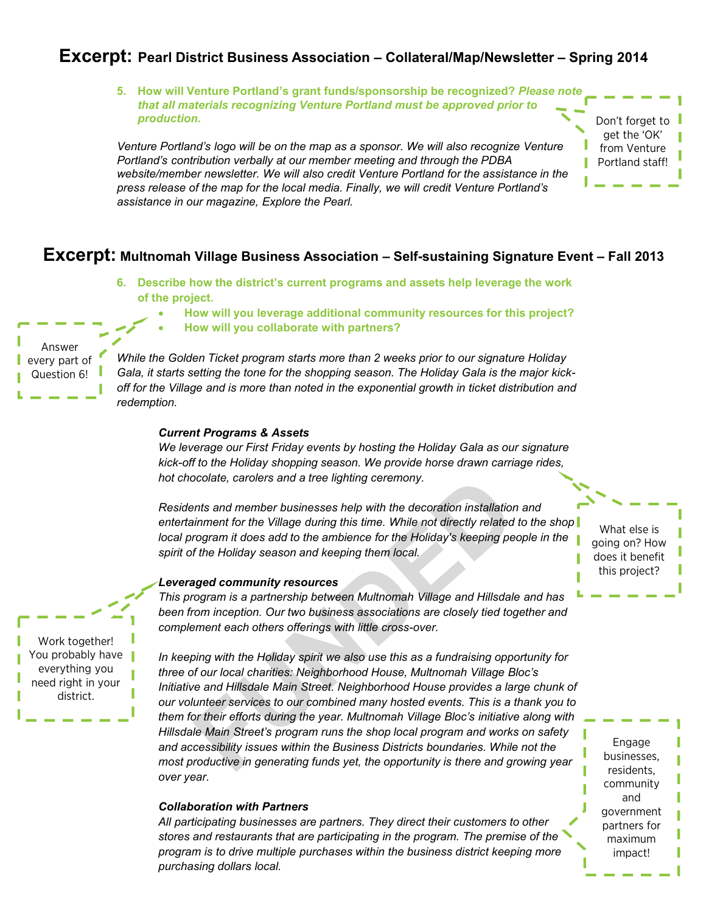# **Excerpt: Pearl District Business Association – Collateral/Map/Newsletter – Spring 2014**

**5. How will Venture Portland's grant funds/sponsorship be recognized?** *Please note that all materials recognizing Venture Portland must be approved prior to production.* Don't forget to

*Venture Portland's logo will be on the map as a sponsor. We will also recognize Venture Portland's contribution verbally at our member meeting and through the PDBA website/member newsletter. We will also credit Venture Portland for the assistance in the press release of the map for the local media. Finally, we will credit Venture Portland's assistance in our magazine, Explore the Pearl.*

#### **Excerpt: Multnomah Village Business Association – Self-sustaining Signature Event – Fall 2013**

- **6. Describe how the district's current programs and assets help leverage the work of the project.** 
	- **How will you leverage additional community resources for this project?**
	- **How will you collaborate with partners?**

*While the Golden Ticket program starts more than 2 weeks prior to our signature Holiday Gala, it starts setting the tone for the shopping season. The Holiday Gala is the major kickoff for the Village and is more than noted in the exponential growth in ticket distribution and redemption.*

#### *Current Programs & Assets*

*We leverage our First Friday events by hosting the Holiday Gala as our signature kick-off to the Holiday shopping season. We provide horse drawn carriage rides, hot chocolate, carolers and a tree lighting ceremony.* 

*Residents and member businesses help with the decoration installation and entertainment for the Village during this time. While not directly related to the shop local program it does add to the ambience for the Holiday's keeping people in the spirit of the Holiday season and keeping them local.*

#### *Leveraged community resources*

*This program is a partnership between Multnomah Village and Hillsdale and has*  been from inception. Our two business associations are closely tied together and *complement each others offerings with little cross-over.* 

*In keeping with the Holiday spirit we also use this as a fundraising opportunity for three of our local charities: Neighborhood House, Multnomah Village Bloc's Initiative and Hillsdale Main Street. Neighborhood House provides a large chunk of our volunteer services to our combined many hosted events. This is a thank you to them for their efforts during the year. Multnomah Village Bloc's initiative along with Hillsdale Main Street's program runs the shop local program and works on safety and accessibility issues within the Business Districts boundaries. While not the most productive in generating funds yet, the opportunity is there and growing year over year.*

#### *Collaboration with Partners*

*All participating businesses are partners. They direct their customers to other stores and restaurants that are participating in the program. The premise of the program is to drive multiple purchases within the business district keeping more purchasing dollars local.*

What else is going on? How does it benefit this project?

get the 'OK' from Venture Portland staff!

Engage businesses, residents, community and government partners for maximum impact!

Work together! You probably have everything you need right in your district.

# Answer every part of Question 6!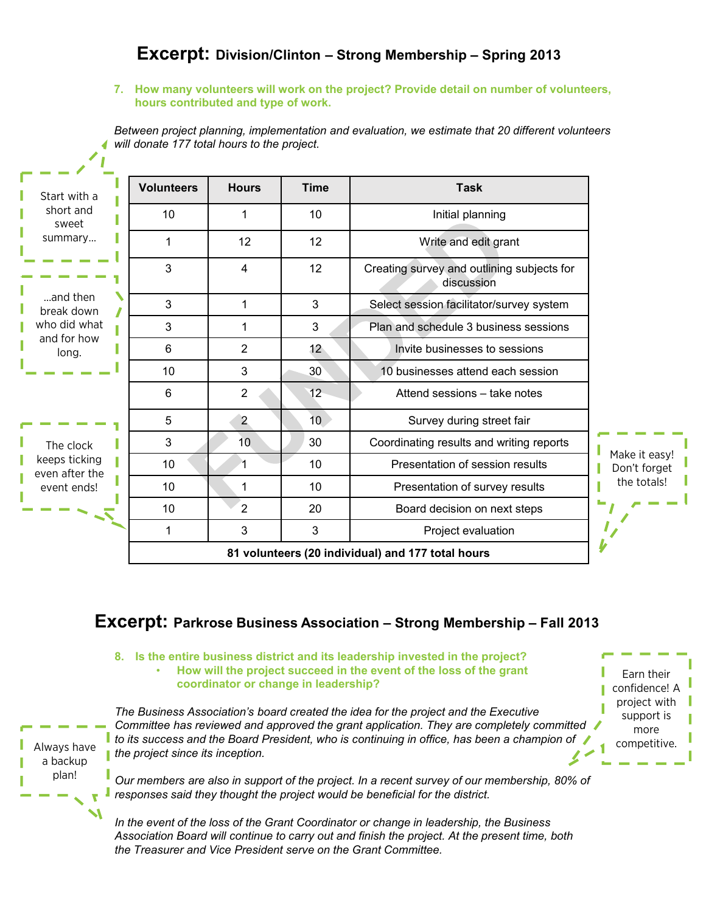# **Excerpt: Division/Clinton – Strong Membership – Spring 2013**

#### **7. How many volunteers will work on the project? Provide detail on number of volunteers, hours contributed and type of work.**

*Between project planning, implementation and evaluation, we estimate that 20 different volunteers will donate 177 total hours to the project.*

| Start with a                                                                                    | <b>Volunteers</b> | <b>Hours</b>   | <b>Time</b>     | <b>Task</b>                                              |                                              |
|-------------------------------------------------------------------------------------------------|-------------------|----------------|-----------------|----------------------------------------------------------|----------------------------------------------|
| short and<br>sweet<br>summary<br>and then<br>break down<br>who did what<br>and for how<br>long. | 10                | 1              | 10              | Initial planning                                         |                                              |
|                                                                                                 | 1                 | 12             | 12              | Write and edit grant                                     |                                              |
|                                                                                                 | 3                 | 4              | 12              | Creating survey and outlining subjects for<br>discussion |                                              |
|                                                                                                 | 3                 | 1              | 3               | Select session facilitator/survey system                 |                                              |
|                                                                                                 | 3                 | 1              | 3               | Plan and schedule 3 business sessions                    |                                              |
|                                                                                                 | 6                 | $\overline{2}$ | 12 <sub>1</sub> | Invite businesses to sessions                            |                                              |
|                                                                                                 | 10                | 3              | 30 <sup>°</sup> | 10 businesses attend each session                        |                                              |
|                                                                                                 | 6                 | $\overline{2}$ | 12              | Attend sessions - take notes                             |                                              |
| The clock<br>keeps ticking<br>even after the<br>event ends!                                     | 5                 | $\overline{2}$ | 10 <sub>1</sub> | Survey during street fair                                | Make it easy!<br>Don't forget<br>the totals! |
|                                                                                                 | 3                 | 10             | 30              | Coordinating results and writing reports                 |                                              |
|                                                                                                 | 10                | 1              | 10              | Presentation of session results                          |                                              |
|                                                                                                 | 10                | 1              | 10              | Presentation of survey results                           |                                              |
|                                                                                                 | 10                | $\overline{2}$ | 20              | Board decision on next steps                             |                                              |
|                                                                                                 | 1                 | 3              | 3               | Project evaluation                                       |                                              |
|                                                                                                 |                   |                |                 |                                                          |                                              |

# **Excerpt: Parkrose Business Association – Strong Membership – Fall 2013**

**8. Is the entire business district and its leadership invested in the project?**  • **How will the project succeed in the event of the loss of the grant coordinator or change in leadership?**

Always have a backup plan!

*The Business Association's board created the idea for the project and the Executive Committee has reviewed and approved the grant application. They are completely committed*  **t** to its success and the Board President, who is continuing in office, has been a champion of *the project since its inception.*

*Our members are also in support of the project. In a recent survey of our membership, 80% of responses said they thought the project would be beneficial for the district.*

*In the event of the loss of the Grant Coordinator or change in leadership, the Business Association Board will continue to carry out and finish the project. At the present time, both the Treasurer and Vice President serve on the Grant Committee.*

Earn their confidence! A project with support is more competitive.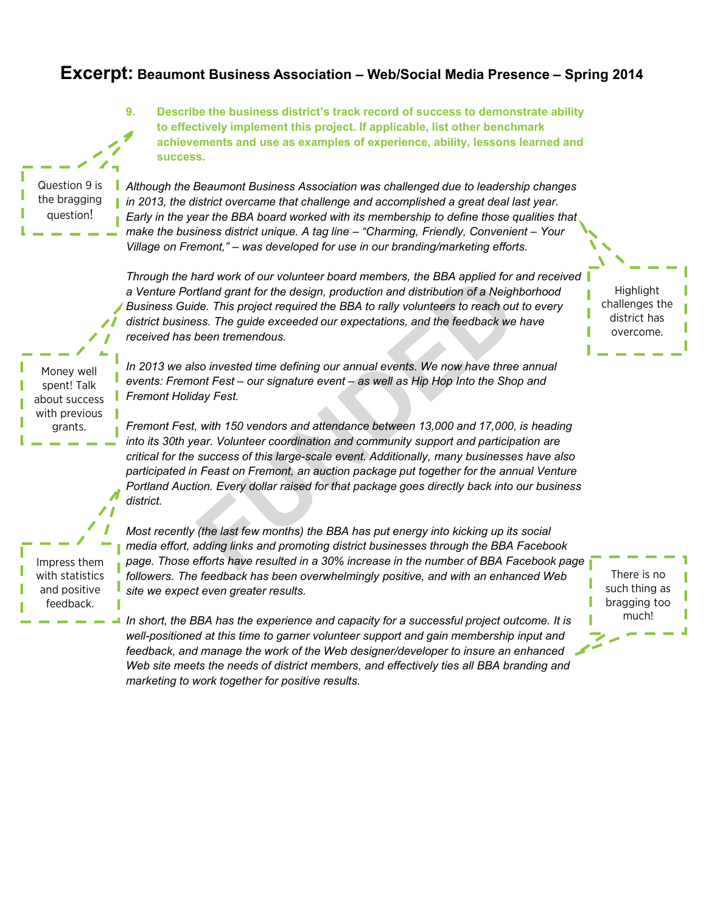## **Excerpt: Beaumont Business Association – Web/Social Media Presence – Spring 2014**



well-positioned at this time to garner volunteer support and gain membership input and *feedback, and manage the work of the Web designer/developer to insure an enhanced*  Web site meets the needs of district members, and effectively ties all BBA branding and *marketing to work together for positive results.*